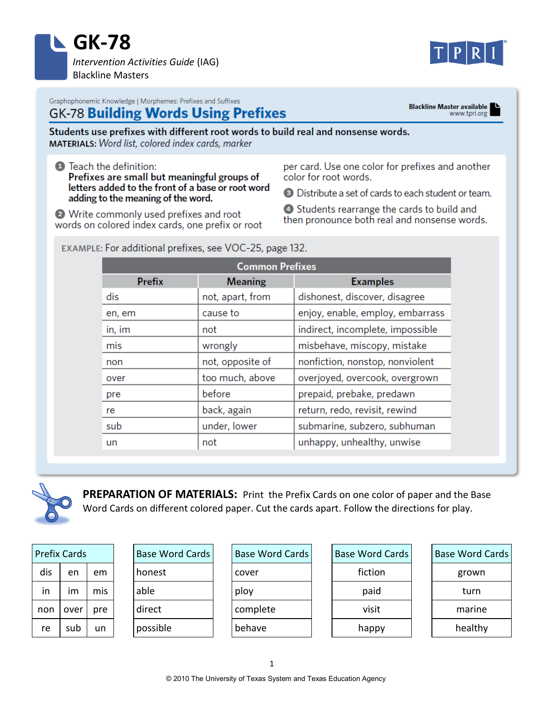

Blackline Master available

Graphophonemic Knowledge | Morphemes: Prefixes and Suffixes

## **GK-78 Building Words Using Prefixes**

Students use prefixes with different root words to build real and nonsense words. **MATERIALS:** Word list, colored index cards, marker

**O** Teach the definition: Prefixes are small but meaningful groups of letters added to the front of a base or root word adding to the meaning of the word.

• Write commonly used prefixes and root words on colored index cards, one prefix or root

EXAMPLE: For additional prefixes, see VOC-25, page 132.

per card. Use one color for prefixes and another color for root words.

**E** Distribute a set of cards to each student or team.

4 Students rearrange the cards to build and then pronounce both real and nonsense words.

| <b>Common Prefixes</b> |                  |                                  |  |  |
|------------------------|------------------|----------------------------------|--|--|
| <b>Prefix</b>          | <b>Meaning</b>   | <b>Examples</b>                  |  |  |
| dis                    | not, apart, from | dishonest, discover, disagree    |  |  |
| en, em                 | cause to         | enjoy, enable, employ, embarrass |  |  |
| in, im                 | not              | indirect, incomplete, impossible |  |  |
| mis                    | wrongly          | misbehave, miscopy, mistake      |  |  |
| non                    | not, opposite of | nonfiction, nonstop, nonviolent  |  |  |
| over                   | too much, above  | overjoyed, overcook, overgrown   |  |  |
| pre                    | before           | prepaid, prebake, predawn        |  |  |
| re                     | back, again      | return, redo, revisit, rewind    |  |  |
| sub                    | under, lower     | submarine, subzero, subhuman     |  |  |
| un                     | not              | unhappy, unhealthy, unwise       |  |  |



**PREPARATION OF MATERIALS:** Print the Prefix Cards on one color of paper and the Base Word Cards on different colored paper. Cut the cards apart. Follow the directions for play.

| Prefix Cards |      |     |  |  |
|--------------|------|-----|--|--|
| dis          | en   | em  |  |  |
| in           | im   | mis |  |  |
| non          | over | pre |  |  |
| re           | sub  | un  |  |  |

| <b>Base Word Cards</b> |  |  |
|------------------------|--|--|
| honest                 |  |  |
| able                   |  |  |
| direct                 |  |  |
| possible               |  |  |
|                        |  |  |

| <b>Base Word Cards</b> |  |  |
|------------------------|--|--|
| cover                  |  |  |
| ploy                   |  |  |
| complete               |  |  |
| behave                 |  |  |

| <b>Base Word Cards</b> |  |  |  |
|------------------------|--|--|--|
| fiction                |  |  |  |
| paid                   |  |  |  |
| visit                  |  |  |  |
| happy                  |  |  |  |

| <b>Base Word Cards</b> |  |  |
|------------------------|--|--|
| grown                  |  |  |
| turn                   |  |  |
| marine                 |  |  |
| healthy                |  |  |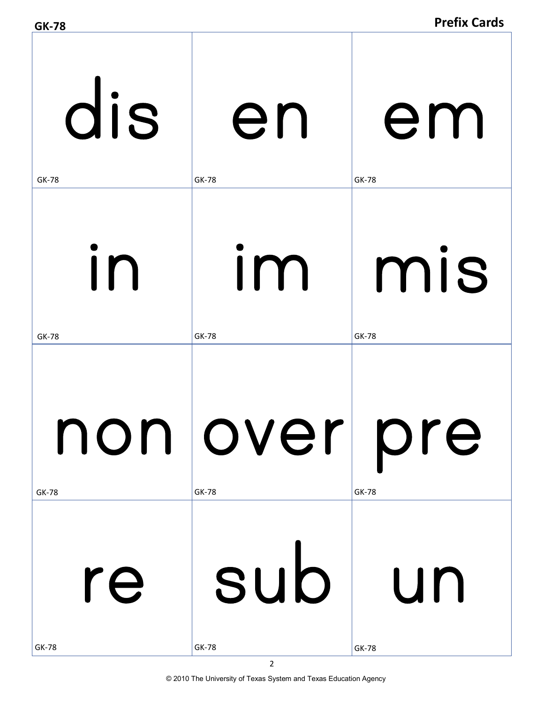| <b>GK-78</b> |                                | <b>Prefix Cards</b> |
|--------------|--------------------------------|---------------------|
| dis          | en                             | em                  |
| <b>GK-78</b> | <b>GK-78</b>                   | GK-78               |
| in           | Im                             | mis                 |
| <b>GK-78</b> | <b>GK-78</b>                   | GK-78               |
| <b>GK-78</b> | non  over  pre<br><b>GK-78</b> | <b>GK-78</b>        |
| re           | sub                            | <b>Lun</b>          |
| <b>GK-78</b> | <b>GK-78</b>                   | <b>GK-78</b>        |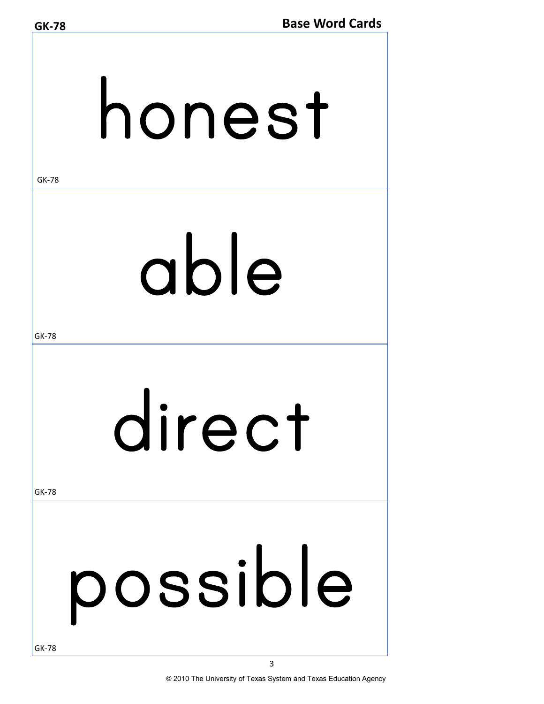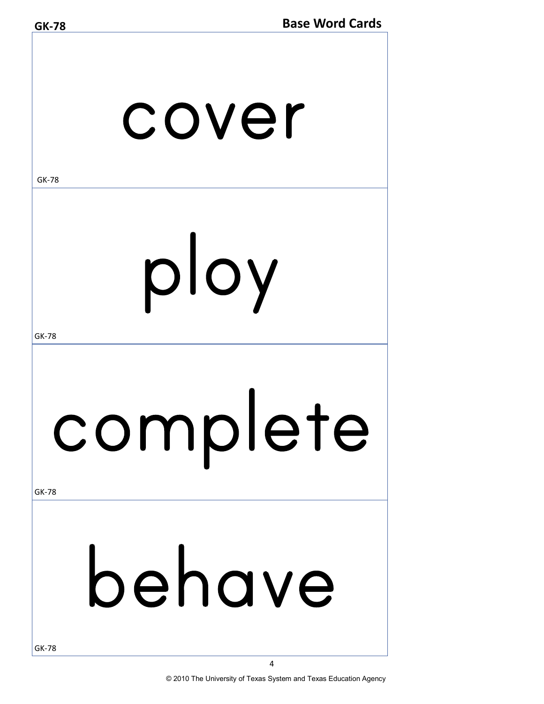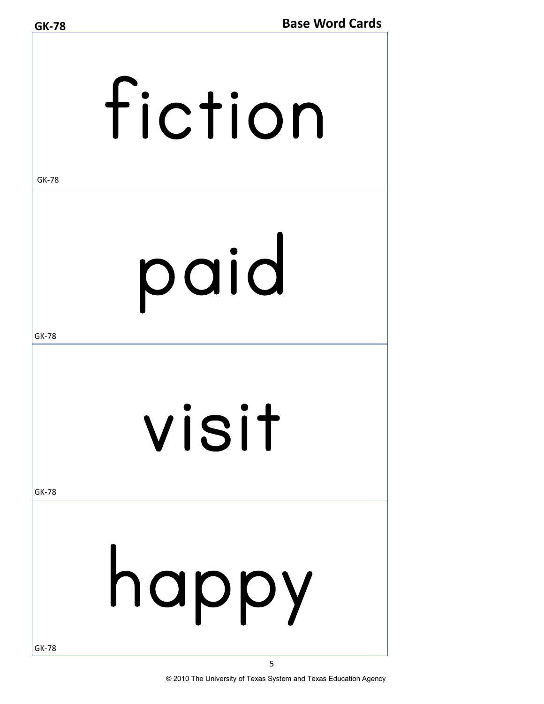